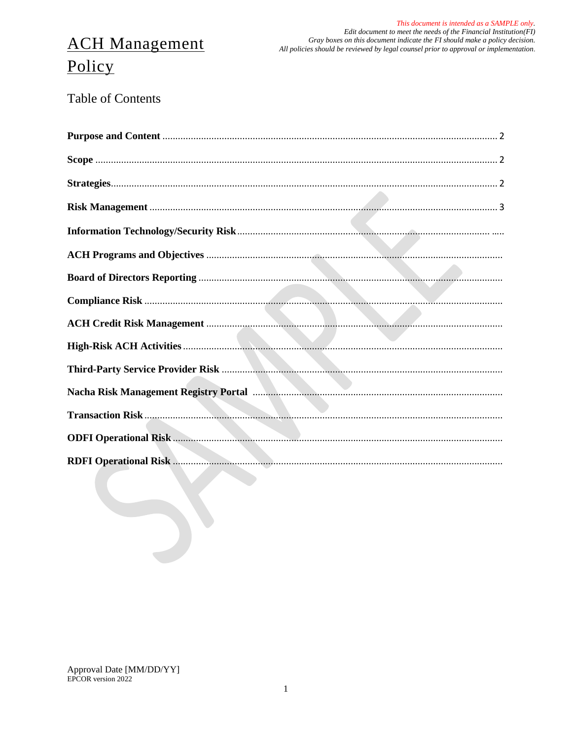# **ACH Management**

This document is intended as a SAMPLE only. Edit document to meet the needs of the Financial Institution  $(FI)$ Gray boxes on this document indicate the FI should make a policy decision. All policies should be reviewed by legal counsel prior to approval or implementation.

# Policy

**Table of Contents**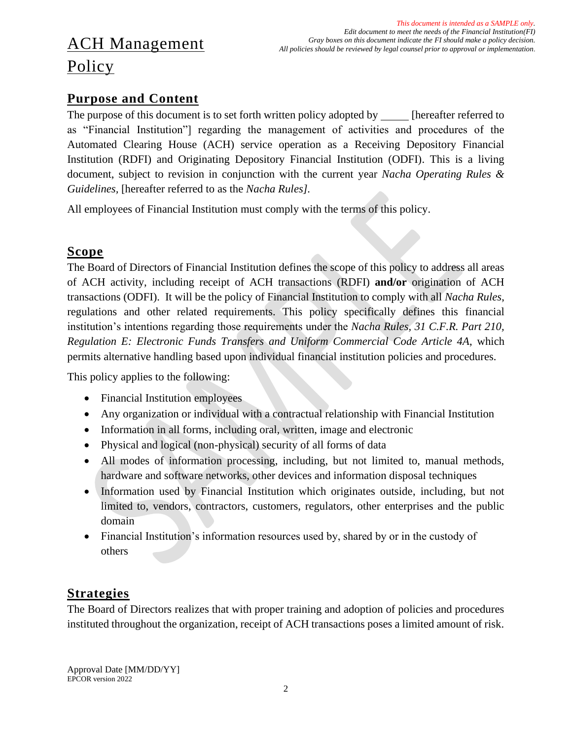# ACH Management Policy

### <span id="page-1-0"></span>**Purpose and Content**

The purpose of this document is to set forth written policy adopted by [hereafter referred to as "Financial Institution"] regarding the management of activities and procedures of the Automated Clearing House (ACH) service operation as a Receiving Depository Financial Institution (RDFI) and Originating Depository Financial Institution (ODFI). This is a living document, subject to revision in conjunction with the current year *Nacha Operating Rules & Guidelines,* [hereafter referred to as the *Nacha Rules].*

All employees of Financial Institution must comply with the terms of this policy.

#### <span id="page-1-1"></span>**Scope**

The Board of Directors of Financial Institution defines the scope of this policy to address all areas of ACH activity, including receipt of ACH transactions (RDFI) **and/or** origination of ACH transactions (ODFI). It will be the policy of Financial Institution to comply with all *Nacha Rules*, regulations and other related requirements. This policy specifically defines this financial institution's intentions regarding those requirements under the *Nacha Rules, 31 C.F.R. Part 210, Regulation E: Electronic Funds Transfers and Uniform Commercial Code Article 4A*, which permits alternative handling based upon individual financial institution policies and procedures.

This policy applies to the following:

- Financial Institution employees
- Any organization or individual with a contractual relationship with Financial Institution
- Information in all forms, including oral, written, image and electronic
- Physical and logical (non-physical) security of all forms of data
- All modes of information processing, including, but not limited to, manual methods, hardware and software networks, other devices and information disposal techniques
- Information used by Financial Institution which originates outside, including, but not limited to, vendors, contractors, customers, regulators, other enterprises and the public domain
- Financial Institution's information resources used by, shared by or in the custody of others

### <span id="page-1-2"></span>**Strategies**

The Board of Directors realizes that with proper training and adoption of policies and procedures instituted throughout the organization, receipt of ACH transactions poses a limited amount of risk.